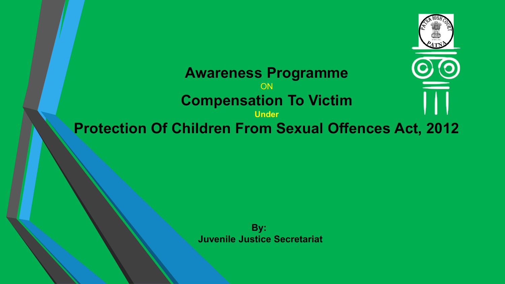# **Awareness Programme** ON **Compensation To Victim Under Protection Of Children From Sexual Offences Act, 2012**

**By: Juvenile Justice Secretariat**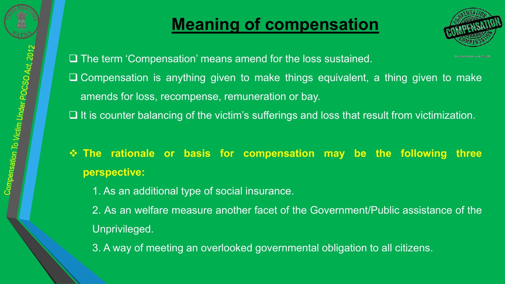

# **Meaning of compensation**



❑ The term 'Compensation' means amend for the loss sustained.

- ❑ Compensation is anything given to make things equivalent, a thing given to make amends for loss, recompense, remuneration or bay.
- ❑ It is counter balancing of the victim's sufferings and loss that result from victimization.
- ❖ **The rationale or basis for compensation may be the following three perspective:**
	- 1. As an additional type of social insurance.
	- 2. As an welfare measure another facet of the Government/Public assistance of the Unprivileged.

3. A way of meeting an overlooked governmental obligation to all citizens.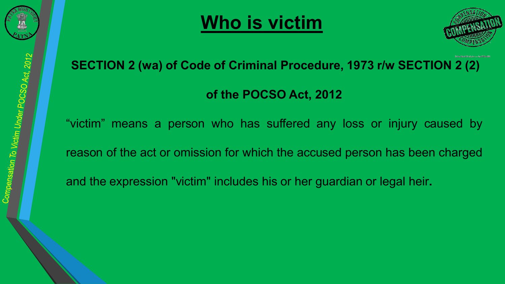





# **SECTION 2 (wa) of Code of Criminal Procedure, 1973 r/w SECTION 2 (2)**

**of the POCSO Act, 2012**

"victim" means a person who has suffered any loss or injury caused by reason of the act or omission for which the accused person has been charged

and the expression "victim" includes his or her guardian or legal heir**.**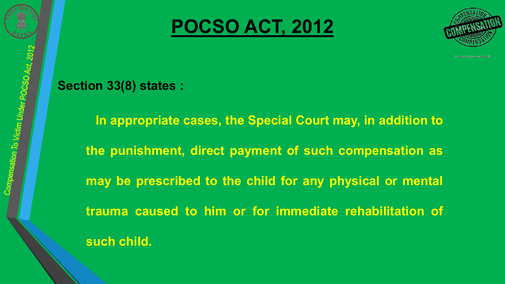





### **Section 33(8) states :**

**In appropriate cases, the Special Court may, in addition to the punishment, direct payment of such compensation as may be prescribed to the child for any physical or mental trauma caused to him or for immediate rehabilitation of such child.**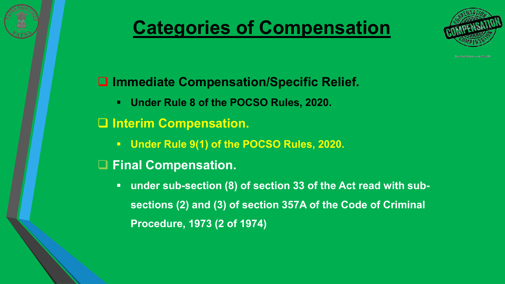

# **Categories of Compensation**



## ❑ **Immediate Compensation/Specific Relief.**

▪ **Under Rule 8 of the POCSO Rules, 2020.**

❑ **Interim Compensation.**

- **Under Rule 9(1) of the POCSO Rules, 2020.**
- ❑ **Final Compensation.**
	- **under sub-section (8) of section 33 of the Act read with subsections (2) and (3) of section 357A of the Code of Criminal Procedure, 1973 (2 of 1974)**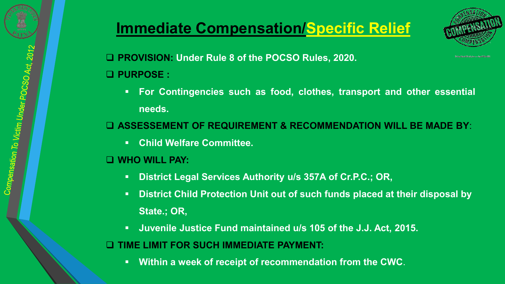

# **Immediate Compensation/Specific Relief**



❑ **PROVISION: Under Rule 8 of the POCSO Rules, 2020.** ❑ **PURPOSE :**

▪ **For Contingencies such as food, clothes, transport and other essential needs.**

❑ **ASSESSEMENT OF REQUIREMENT & RECOMMENDATION WILL BE MADE BY**:

▪ **Child Welfare Committee.**

❑ **WHO WILL PAY:**

- **District Legal Services Authority u/s 357A of Cr.P.C.; OR,**
- **District Child Protection Unit out of such funds placed at their disposal by State.; OR,**
- **Juvenile Justice Fund maintained u/s 105 of the J.J. Act, 2015.** ❑ **TIME LIMIT FOR SUCH IMMEDIATE PAYMENT:**
	- **Within a week of receipt of recommendation from the CWC**.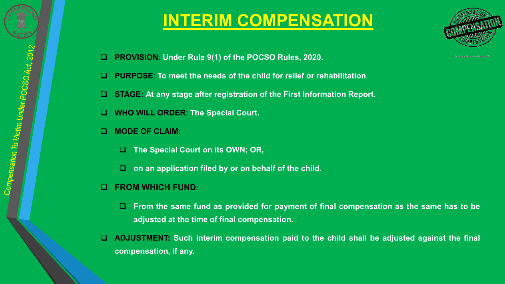

# **INTERIM COMPENSATION**

- ❑ **PROVISION**: **Under Rule 9(1) of the POCSO Rules, 2020.**
- ❑ **PURPOSE**: **To meet the needs of the child for relief or rehabilitation**.
- ❑ **STAGE: At any stage after registration of the First Information Report.**
- ❑ **WHO WILL ORDER**: **The Special Court.**
- ❑ **MODE OF CLAIM:**
	- ❑ **The Special Court on its OWN; OR,**
	- ❑ **on an application filed by or on behalf of the child.**
- ❑ **FROM WHICH FUND:**
	- ❑ **From the same fund as provided for payment of final compensation as the same has to be adjusted at the time of final compensation.**
- ❑ **ADJUSTMENT: Such interim compensation paid to the child shall be adjusted against the final compensation, if any.**

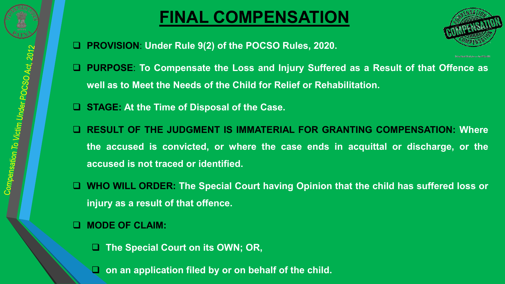

# **FINAL COMPENSATION**

❑ **PROVISION**: **Under Rule 9(2) of the POCSO Rules, 2020.**



- ❑ **PURPOSE**: **To Compensate the Loss and Injury Suffered as a Result of that Offence as well as to Meet the Needs of the Child for Relief or Rehabilitation.**
- ❑ **STAGE: At the Time of Disposal of the Case.**
- ❑ **RESULT OF THE JUDGMENT IS IMMATERIAL FOR GRANTING COMPENSATION: Where the accused is convicted, or where the case ends in acquittal or discharge, or the accused is not traced or identified.**
- ❑ **WHO WILL ORDER: The Special Court having Opinion that the child has suffered loss or injury as a result of that offence.**
- ❑ **MODE OF CLAIM:**
	- ❑ **The Special Court on its OWN; OR,**
		- ❑ **on an application filed by or on behalf of the child.**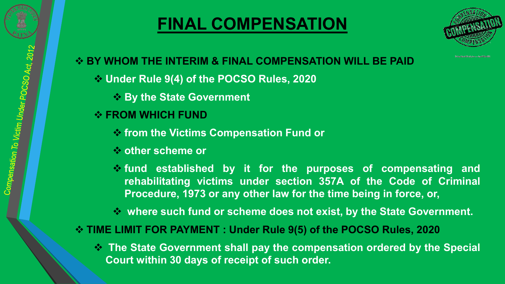

# **FINAL COMPENSATION**



### ❖ **BY WHOM THE INTERIM & FINAL COMPENSATION WILL BE PAID**

- ❖ **Under Rule 9(4) of the POCSO Rules, 2020**
	- ❖ **By the State Government**

### ❖ **FROM WHICH FUND**

- ❖ **from the Victims Compensation Fund or**
- ❖ **other scheme or**
- ❖ **fund established by it for the purposes of compensating and rehabilitating victims under section 357A of the Code of Criminal Procedure, 1973 or any other law for the time being in force, or,**
- ❖ **where such fund or scheme does not exist, by the State Government.**

### ❖ **TIME LIMIT FOR PAYMENT : Under Rule 9(5) of the POCSO Rules, 2020**

❖ **The State Government shall pay the compensation ordered by the Special Court within 30 days of receipt of such order.**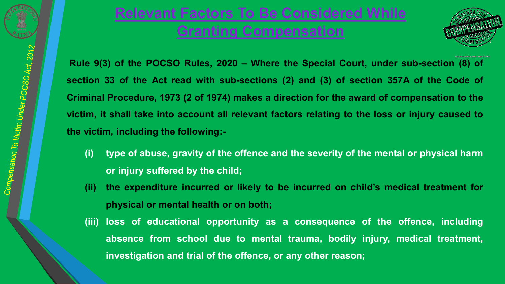# **Relevant Factors To Be Considered While Granting Compensation**



**Rule 9(3) of the POCSO Rules, 2020 – Where the Special Court, under sub-section (8) of section 33 of the Act read with sub-sections (2) and (3) of section 357A of the Code of Criminal Procedure, 1973 (2 of 1974) makes a direction for the award of compensation to the victim, it shall take into account all relevant factors relating to the loss or injury caused to the victim, including the following:-**

- **(i) type of abuse, gravity of the offence and the severity of the mental or physical harm or injury suffered by the child;**
- **(ii) the expenditure incurred or likely to be incurred on child's medical treatment for physical or mental health or on both;**
- **(iii) loss of educational opportunity as a consequence of the offence, including absence from school due to mental trauma, bodily injury, medical treatment, investigation and trial of the offence, or any other reason;**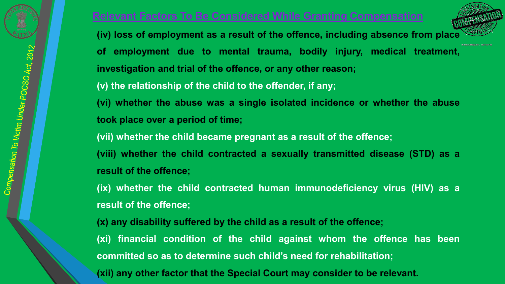### **Relevant Factors To Be Considered While Granting Compensation**

**(iv) loss of employment as a result of the offence, including absence from place of employment due to mental trauma, bodily injury, medical treatment, investigation and trial of the offence, or any other reason;**

**(v) the relationship of the child to the offender, if any;**

**(vi) whether the abuse was a single isolated incidence or whether the abuse took place over a period of time;**

**(vii) whether the child became pregnant as a result of the offence;**

**(viii) whether the child contracted a sexually transmitted disease (STD) as a result of the offence;**

**(ix) whether the child contracted human immunodeficiency virus (HIV) as a result of the offence;**

**(x) any disability suffered by the child as a result of the offence;**

**(xi) financial condition of the child against whom the offence has been committed so as to determine such child's need for rehabilitation;**

**(xii) any other factor that the Special Court may consider to be relevant.**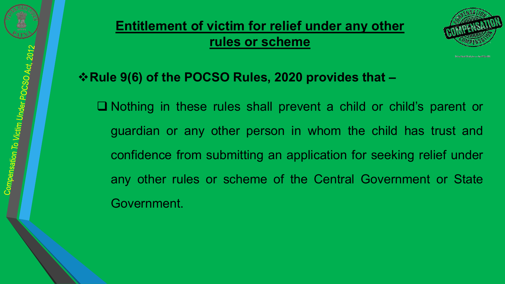

# **Entitlement of victim for relief under any other rules or scheme**



## ❖**Rule 9(6) of the POCSO Rules, 2020 provides that –**

❑ Nothing in these rules shall prevent a child or child's parent or guardian or any other person in whom the child has trust and confidence from submitting an application for seeking relief under any other rules or scheme of the Central Government or State Government.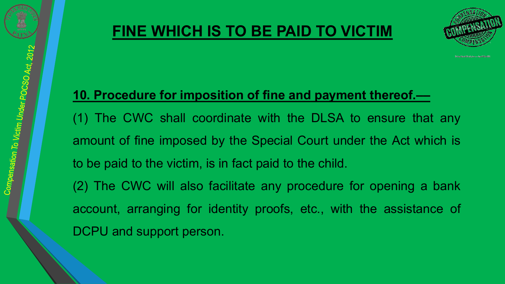



# **10. Procedure for imposition of fine and payment thereof.––**

(1) The CWC shall coordinate with the DLSA to ensure that any amount of fine imposed by the Special Court under the Act which is to be paid to the victim, is in fact paid to the child. (2) The CWC will also facilitate any procedure for opening a bank

account, arranging for identity proofs, etc., with the assistance of DCPU and support person.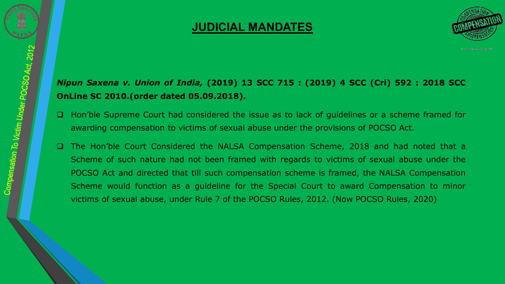### **JUDICIAL MANDATES**



### *Nipun Saxena v. Union of India,* **(2019) 13 SCC 715 : (2019) 4 SCC (Cri) 592 : 2018 SCC OnLine SC 2010.(order dated 05.09.2018).**

- ❑ Hon'ble Supreme Court had considered the issue as to lack of guidelines or a scheme framed for awarding compensation to victims of sexual abuse under the provisions of POCSO Act.
- ❑ The Hon'ble Court Considered the NALSA Compensation Scheme, 2018 and had noted that a Scheme of such nature had not been framed with regards to victims of sexual abuse under the POCSO Act and directed that till such compensation scheme is framed, the NALSA Compensation Scheme would function as a guideline for the Special Court to award Compensation to minor victims of sexual abuse, under Rule 7 of the POCSO Rules, 2012. (Now POCSO Rules, 2020)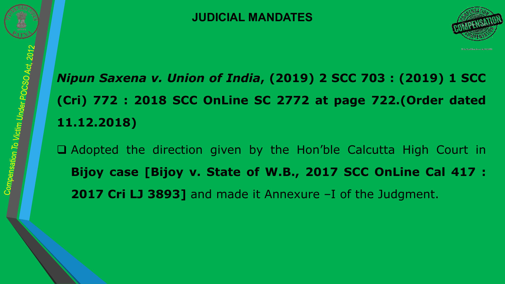

# *Nipun Saxena v. Union of India***, (2019) 2 SCC 703 : (2019) 1 SCC (Cri) 772 : 2018 SCC OnLine SC 2772 at page 722.(Order dated 11.12.2018)**

❑ Adopted the direction given by the Hon'ble Calcutta High Court in **Bijoy case [Bijoy v. State of W.B., 2017 SCC OnLine Cal 417 : 2017 Cri LJ 3893]** and made it Annexure –I of the Judgment.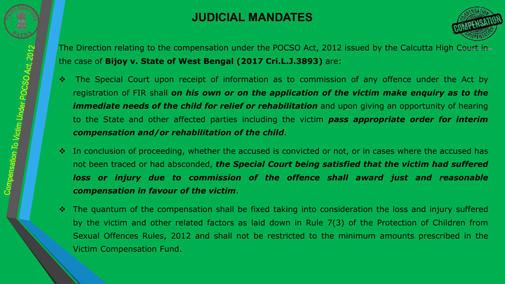

## **JUDICIAL MANDATES**



The Direction relating to the compensation under the POCSO Act, 2012 issued by the Calcutta High Court in the case of **Bijoy v. State of West Bengal (2017 Cri.L.J.3893)** are:

- ❖ The Special Court upon receipt of information as to commission of any offence under the Act by registration of FIR shall *on his own or on the application of the victim make enquiry as to the immediate needs of the child for relief or rehabilitation* and upon giving an opportunity of hearing to the State and other affected parties including the victim *pass appropriate order for interim compensation and/or rehabilitation of the child*.
- ❖ In conclusion of proceeding, whether the accused is convicted or not, or in cases where the accused has not been traced or had absconded, *the Special Court being satisfied that the victim had suffered loss or injury due to commission of the offence shall award just and reasonable compensation in favour of the victim*.
- ❖ The quantum of the compensation shall be fixed taking into consideration the loss and injury suffered by the victim and other related factors as laid down in Rule 7(3) of the Protection of Children from Sexual Offences Rules, 2012 and shall not be restricted to the minimum amounts prescribed in the Victim Compensation Fund.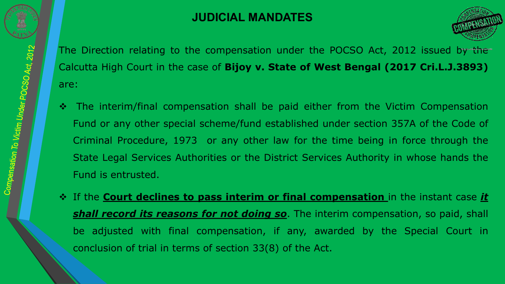

## **JUDICIAL MANDATES**



The Direction relating to the compensation under the POCSO Act, 2012 issued by the Calcutta High Court in the case of **Bijoy v. State of West Bengal (2017 Cri.L.J.3893)** are:

- ❖ The interim/final compensation shall be paid either from the Victim Compensation Fund or any other special scheme/fund established under section 357A of the Code of Criminal Procedure, 1973 or any other law for the time being in force through the State Legal Services Authorities or the District Services Authority in whose hands the Fund is entrusted.
- ❖ If the **Court declines to pass interim or final compensation** in the instant case *it shall record its reasons for not doing so*. The interim compensation, so paid, shall be adjusted with final compensation, if any, awarded by the Special Court in conclusion of trial in terms of section 33(8) of the Act.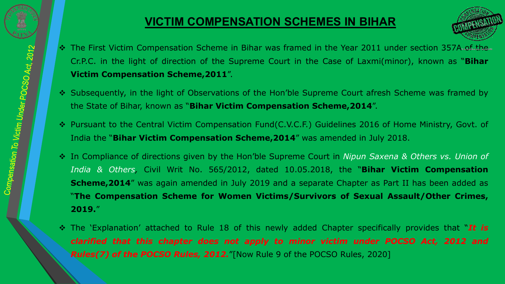

## **VICTIM COMPENSATION SCHEMES IN BIHAR**



- ◆ The First Victim Compensation Scheme in Bihar was framed in the Year 2011 under section 357A of the Cr.P.C. in the light of direction of the Supreme Court in the Case of Laxmi(minor), known as "**Bihar Victim Compensation Scheme,2011**".
- ❖ Subsequently, in the light of Observations of the Hon'ble Supreme Court afresh Scheme was framed by the State of Bihar, known as "**Bihar Victim Compensation Scheme,2014**".
- ❖ Pursuant to the Central Victim Compensation Fund(C.V.C.F.) Guidelines 2016 of Home Ministry, Govt. of India the "**Bihar Victim Compensation Scheme,2014**" was amended in July 2018.
- ❖ In Compliance of directions given by the Hon'ble Supreme Court in *Nipun Saxena & Others vs. Union of India & Others,* Civil Writ No. 565/2012, dated 10.05.2018, the "**Bihar Victim Compensation Scheme, 2014**" was again amended in July 2019 and a separate Chapter as Part II has been added as "**The Compensation Scheme for Women Victims/Survivors of Sexual Assault/Other Crimes, 2019.**"
- ❖ The 'Explanation' attached to Rule 18 of this newly added Chapter specifically provides that "*It is clarified that this chapter does not apply to minor victim under POCSO Act, 2012 and Rules(7) of the POCSO Rules, 2012.*"[Now Rule 9 of the POCSO Rules, 2020]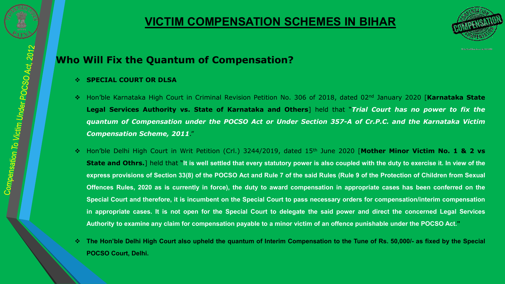

### **VICTIM COMPENSATION SCHEMES IN BIHAR**



#### **Who Will Fix the Quantum of Compensation?**

- ❖ **SPECIAL COURT OR DLSA**
- ❖ Hon'ble Karnataka High Court in Criminal Revision Petition No. 306 of 2018, dated 02nd January 2020 [**Karnataka State** Legal Services Authority vs. State of Karnataka and Others] held that "Trial Court has no power to fix the *quantum of Compensation under the POCSO Act or Under Section 357-A of Cr.P.C. and the Karnataka Victim Compensation Scheme, 2011*."
- ❖ Hon'ble Delhi High Court in Writ Petition (Crl.) 3244/2019, dated 15th June 2020 [**Mother Minor Victim No. 1 & 2 vs** State and Othrs.] held that "It is well settled that every statutory power is also coupled with the duty to exercise it. In view of the express provisions of Section 33(8) of the POCSO Act and Rule 7 of the said Rules (Rule 9 of the Protection of Children from Sexual Offences Rules, 2020 as is currently in force), the duty to award compensation in appropriate cases has been conferred on the Special Court and therefore, it is incumbent on the Special Court to pass necessary orders for compensation/interim compensation in appropriate cases. It is not open for the Special Court to delegate the said power and direct the concerned Legal Services Authority to examine any claim for compensation payable to a minor victim of an offence punishable under the POCSO Act."
- \* The Hon'ble Delhi High Court also upheld the quantum of Interim Compensation to the Tune of Rs. 50,000/- as fixed by the Special **POCSO Court, Delhi.**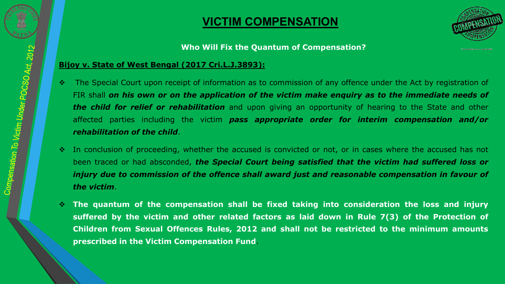

#### **Who Will Fix the Quantum of Compensation?**

#### **Bijoy v. State of West Bengal (2017 Cri.L.J.3893):**

- ❖ The Special Court upon receipt of information as to commission of any offence under the Act by registration of FIR shall *on his own or on the application of the victim make enquiry as to the immediate needs of the child for relief or rehabilitation* and upon giving an opportunity of hearing to the State and other affected parties including the victim *pass appropriate order for interim compensation and/or rehabilitation of the child*.
- ❖ In conclusion of proceeding, whether the accused is convicted or not, or in cases where the accused has not been traced or had absconded, *the Special Court being satisfied that the victim had suffered loss or injury due to commission of the offence shall award just and reasonable compensation in favour of the victim*.
- ❖ **The quantum of the compensation shall be fixed taking into consideration the loss and injury suffered by the victim and other related factors as laid down in Rule 7(3) of the Protection of Children from Sexual Offences Rules, 2012 and shall not be restricted to the minimum amounts prescribed in the Victim Compensation Fund**.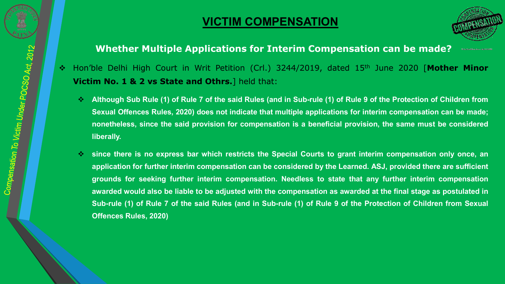### **VICTIM COMPENSATION**



#### **Whether Multiple Applications for Interim Compensation can be made?**

- 
- ❖ Hon'ble Delhi High Court in Writ Petition (Crl.) 3244/2019, dated 15th June 2020 [**Mother Minor Victim No. 1 & 2 vs State and Othrs.**] held that:
	- Although Sub Rule (1) of Rule 7 of the said Rules (and in Sub-rule (1) of Rule 9 of the Protection of Children from **Sexual Offences Rules, 2020) does not indicate that multiple applications for interim compensation can be made; nonetheless, since the said provision for compensation is a beneficial provision, the same must be considered liberally.**
	- So since there is no express bar which restricts the Special Courts to grant interim compensation only once, an application for further interim compensation can be considered by the Learned. ASJ, provided there are sufficient **grounds for seeking further interim compensation. Needless to state that any further interim compensation** awarded would also be liable to be adjusted with the compensation as awarded at the final stage as postulated in Sub-rule (1) of Rule 7 of the said Rules (and in Sub-rule (1) of Rule 9 of the Protection of Children from Sexual **Offences Rules, 2020)**